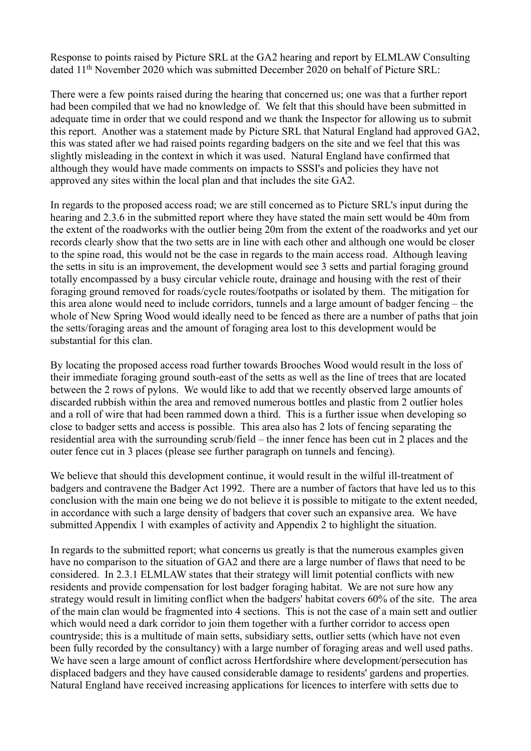Response to points raised by Picture SRL at the GA2 hearing and report by ELMLAW Consulting dated 11<sup>th</sup> November 2020 which was submitted December 2020 on behalf of Picture SRL:

There were a few points raised during the hearing that concerned us; one was that a further report had been compiled that we had no knowledge of. We felt that this should have been submitted in adequate time in order that we could respond and we thank the Inspector for allowing us to submit this report. Another was a statement made by Picture SRL that Natural England had approved GA2, this was stated after we had raised points regarding badgers on the site and we feel that this was slightly misleading in the context in which it was used. Natural England have confirmed that although they would have made comments on impacts to SSSI's and policies they have not approved any sites within the local plan and that includes the site GA2.

In regards to the proposed access road; we are still concerned as to Picture SRL's input during the hearing and 2.3.6 in the submitted report where they have stated the main sett would be 40m from the extent of the roadworks with the outlier being 20m from the extent of the roadworks and yet our records clearly show that the two setts are in line with each other and although one would be closer to the spine road, this would not be the case in regards to the main access road. Although leaving the setts in situ is an improvement, the development would see 3 setts and partial foraging ground totally encompassed by a busy circular vehicle route, drainage and housing with the rest of their foraging ground removed for roads/cycle routes/footpaths or isolated by them. The mitigation for this area alone would need to include corridors, tunnels and a large amount of badger fencing – the whole of New Spring Wood would ideally need to be fenced as there are a number of paths that join the setts/foraging areas and the amount of foraging area lost to this development would be substantial for this clan.

By locating the proposed access road further towards Brooches Wood would result in the loss of their immediate foraging ground south-east of the setts as well as the line of trees that are located between the 2 rows of pylons. We would like to add that we recently observed large amounts of discarded rubbish within the area and removed numerous bottles and plastic from 2 outlier holes and a roll of wire that had been rammed down a third. This is a further issue when developing so close to badger setts and access is possible. This area also has 2 lots of fencing separating the residential area with the surrounding scrub/field – the inner fence has been cut in 2 places and the outer fence cut in 3 places (please see further paragraph on tunnels and fencing).

We believe that should this development continue, it would result in the wilful ill-treatment of badgers and contravene the Badger Act 1992. There are a number of factors that have led us to this conclusion with the main one being we do not believe it is possible to mitigate to the extent needed, in accordance with such a large density of badgers that cover such an expansive area. We have submitted Appendix 1 with examples of activity and Appendix 2 to highlight the situation.

In regards to the submitted report; what concerns us greatly is that the numerous examples given have no comparison to the situation of GA2 and there are a large number of flaws that need to be considered. In 2.3.1 ELMLAW states that their strategy will limit potential conflicts with new residents and provide compensation for lost badger foraging habitat. We are not sure how any strategy would result in limiting conflict when the badgers' habitat covers 60% of the site. The area of the main clan would be fragmented into 4 sections. This is not the case of a main sett and outlier which would need a dark corridor to join them together with a further corridor to access open countryside; this is a multitude of main setts, subsidiary setts, outlier setts (which have not even been fully recorded by the consultancy) with a large number of foraging areas and well used paths. We have seen a large amount of conflict across Hertfordshire where development/persecution has displaced badgers and they have caused considerable damage to residents' gardens and properties. Natural England have received increasing applications for licences to interfere with setts due to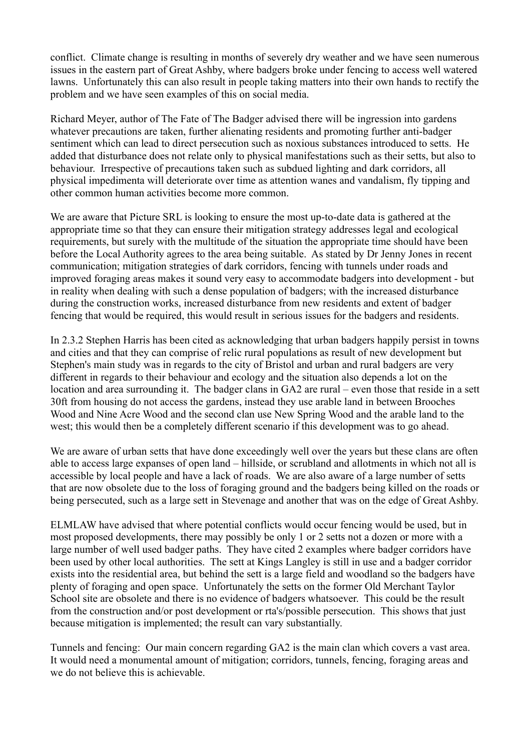conflict. Climate change is resulting in months of severely dry weather and we have seen numerous issues in the eastern part of Great Ashby, where badgers broke under fencing to access well watered lawns. Unfortunately this can also result in people taking matters into their own hands to rectify the problem and we have seen examples of this on social media.

Richard Meyer, author of The Fate of The Badger advised there will be ingression into gardens whatever precautions are taken, further alienating residents and promoting further anti-badger sentiment which can lead to direct persecution such as noxious substances introduced to setts. He added that disturbance does not relate only to physical manifestations such as their setts, but also to behaviour. Irrespective of precautions taken such as subdued lighting and dark corridors, all physical impedimenta will deteriorate over time as attention wanes and vandalism, fly tipping and other common human activities become more common.

We are aware that Picture SRL is looking to ensure the most up-to-date data is gathered at the appropriate time so that they can ensure their mitigation strategy addresses legal and ecological requirements, but surely with the multitude of the situation the appropriate time should have been before the Local Authority agrees to the area being suitable. As stated by Dr Jenny Jones in recent communication; mitigation strategies of dark corridors, fencing with tunnels under roads and improved foraging areas makes it sound very easy to accommodate badgers into development - but in reality when dealing with such a dense population of badgers; with the increased disturbance during the construction works, increased disturbance from new residents and extent of badger fencing that would be required, this would result in serious issues for the badgers and residents.

In 2.3.2 Stephen Harris has been cited as acknowledging that urban badgers happily persist in towns and cities and that they can comprise of relic rural populations as result of new development but Stephen's main study was in regards to the city of Bristol and urban and rural badgers are very different in regards to their behaviour and ecology and the situation also depends a lot on the location and area surrounding it. The badger clans in GA2 are rural – even those that reside in a sett 30ft from housing do not access the gardens, instead they use arable land in between Brooches Wood and Nine Acre Wood and the second clan use New Spring Wood and the arable land to the west; this would then be a completely different scenario if this development was to go ahead.

We are aware of urban setts that have done exceedingly well over the years but these clans are often able to access large expanses of open land – hillside, or scrubland and allotments in which not all is accessible by local people and have a lack of roads. We are also aware of a large number of setts that are now obsolete due to the loss of foraging ground and the badgers being killed on the roads or being persecuted, such as a large sett in Stevenage and another that was on the edge of Great Ashby.

ELMLAW have advised that where potential conflicts would occur fencing would be used, but in most proposed developments, there may possibly be only 1 or 2 setts not a dozen or more with a large number of well used badger paths. They have cited 2 examples where badger corridors have been used by other local authorities. The sett at Kings Langley is still in use and a badger corridor exists into the residential area, but behind the sett is a large field and woodland so the badgers have plenty of foraging and open space. Unfortunately the setts on the former Old Merchant Taylor School site are obsolete and there is no evidence of badgers whatsoever. This could be the result from the construction and/or post development or rta's/possible persecution. This shows that just because mitigation is implemented; the result can vary substantially.

Tunnels and fencing: Our main concern regarding GA2 is the main clan which covers a vast area. It would need a monumental amount of mitigation; corridors, tunnels, fencing, foraging areas and we do not believe this is achievable.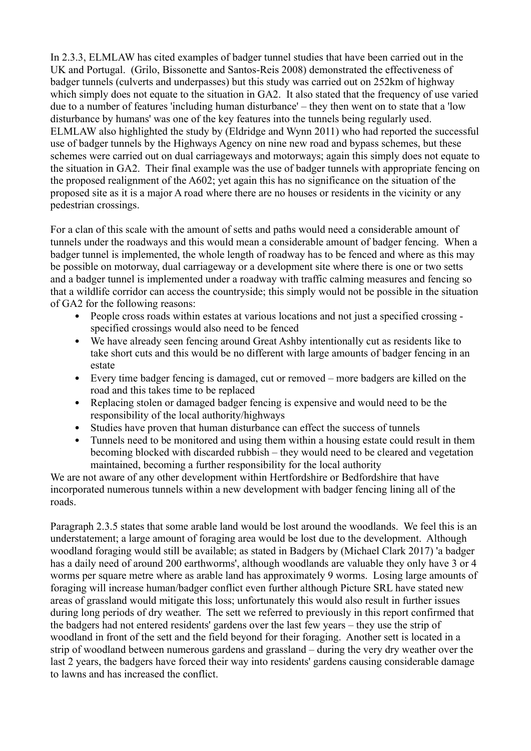In 2.3.3, ELMLAW has cited examples of badger tunnel studies that have been carried out in the UK and Portugal. (Grilo, Bissonette and Santos-Reis 2008) demonstrated the effectiveness of badger tunnels (culverts and underpasses) but this study was carried out on 252km of highway which simply does not equate to the situation in GA2. It also stated that the frequency of use varied due to a number of features 'including human disturbance' – they then went on to state that a 'low disturbance by humans' was one of the key features into the tunnels being regularly used. ELMLAW also highlighted the study by (Eldridge and Wynn 2011) who had reported the successful use of badger tunnels by the Highways Agency on nine new road and bypass schemes, but these schemes were carried out on dual carriageways and motorways; again this simply does not equate to the situation in GA2. Their final example was the use of badger tunnels with appropriate fencing on the proposed realignment of the A602; yet again this has no significance on the situation of the proposed site as it is a major A road where there are no houses or residents in the vicinity or any pedestrian crossings.

For a clan of this scale with the amount of setts and paths would need a considerable amount of tunnels under the roadways and this would mean a considerable amount of badger fencing. When a badger tunnel is implemented, the whole length of roadway has to be fenced and where as this may be possible on motorway, dual carriageway or a development site where there is one or two setts and a badger tunnel is implemented under a roadway with traffic calming measures and fencing so that a wildlife corridor can access the countryside; this simply would not be possible in the situation of GA2 for the following reasons:

- People cross roads within estates at various locations and not just a specified crossing specified crossings would also need to be fenced
- We have already seen fencing around Great Ashby intentionally cut as residents like to take short cuts and this would be no different with large amounts of badger fencing in an estate
- Every time badger fencing is damaged, cut or removed more badgers are killed on the road and this takes time to be replaced
- Replacing stolen or damaged badger fencing is expensive and would need to be the responsibility of the local authority/highways
- Studies have proven that human disturbance can effect the success of tunnels
- Tunnels need to be monitored and using them within a housing estate could result in them becoming blocked with discarded rubbish – they would need to be cleared and vegetation maintained, becoming a further responsibility for the local authority

We are not aware of any other development within Hertfordshire or Bedfordshire that have incorporated numerous tunnels within a new development with badger fencing lining all of the roads.

Paragraph 2.3.5 states that some arable land would be lost around the woodlands. We feel this is an understatement; a large amount of foraging area would be lost due to the development. Although woodland foraging would still be available; as stated in Badgers by (Michael Clark 2017) 'a badger has a daily need of around 200 earthworms', although woodlands are valuable they only have 3 or 4 worms per square metre where as arable land has approximately 9 worms. Losing large amounts of foraging will increase human/badger conflict even further although Picture SRL have stated new areas of grassland would mitigate this loss; unfortunately this would also result in further issues during long periods of dry weather. The sett we referred to previously in this report confirmed that the badgers had not entered residents' gardens over the last few years – they use the strip of woodland in front of the sett and the field beyond for their foraging. Another sett is located in a strip of woodland between numerous gardens and grassland – during the very dry weather over the last 2 years, the badgers have forced their way into residents' gardens causing considerable damage to lawns and has increased the conflict.